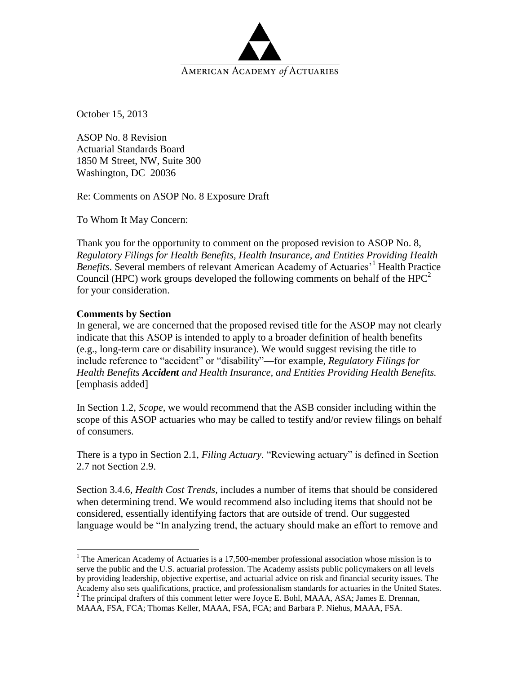

October 15, 2013

ASOP No. 8 Revision Actuarial Standards Board 1850 M Street, NW, Suite 300 Washington, DC 20036

Re: Comments on ASOP No. 8 Exposure Draft

To Whom It May Concern:

Thank you for the opportunity to comment on the proposed revision to ASOP No. 8, *Regulatory Filings for Health Benefits, Health Insurance, and Entities Providing Health Benefits*. Several members of relevant American Academy of Actuaries<sup>'1</sup> Health Practice Council (HPC) work groups developed the following comments on behalf of the  $HPC<sup>2</sup>$ for your consideration.

## **Comments by Section**

 $\overline{a}$ 

In general, we are concerned that the proposed revised title for the ASOP may not clearly indicate that this ASOP is intended to apply to a broader definition of health benefits (e.g., long-term care or disability insurance). We would suggest revising the title to include reference to "accident" or "disability"—for example, *Regulatory Filings for Health Benefits Accident and Health Insurance, and Entities Providing Health Benefits.* [emphasis added]

In Section 1.2, *Scope*, we would recommend that the ASB consider including within the scope of this ASOP actuaries who may be called to testify and/or review filings on behalf of consumers.

There is a typo in Section 2.1, *Filing Actuary*. "Reviewing actuary" is defined in Section 2.7 not Section 2.9.

Section 3.4.6, *Health Cost Trends*, includes a number of items that should be considered when determining trend. We would recommend also including items that should not be considered, essentially identifying factors that are outside of trend. Our suggested language would be "In analyzing trend, the actuary should make an effort to remove and

<sup>&</sup>lt;sup>1</sup> The American Academy of Actuaries is a 17,500-member professional association whose mission is to serve the public and the U.S. actuarial profession. The Academy assists public policymakers on all levels by providing leadership, objective expertise, and actuarial advice on risk and financial security issues. The Academy also sets qualifications, practice, and professionalism standards for actuaries in the United States.

 $2^2$  The principal drafters of this comment letter were Joyce E. Bohl, MAAA, ASA; James E. Drennan, MAAA, FSA, FCA; Thomas Keller, MAAA, FSA, FCA; and Barbara P. Niehus, MAAA, FSA.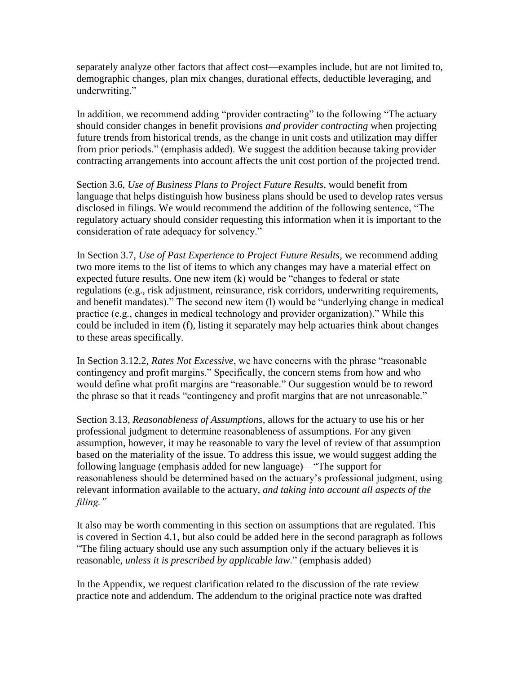separately analyze other factors that affect cost—examples include, but are not limited to, demographic changes, plan mix changes, durational effects, deductible leveraging, and underwriting."

In addition, we recommend adding "provider contracting" to the following "The actuary should consider changes in benefit provisions *and provider contracting* when projecting future trends from historical trends, as the change in unit costs and utilization may differ from prior periods." (emphasis added). We suggest the addition because taking provider contracting arrangements into account affects the unit cost portion of the projected trend.

Section 3.6, *Use of Business Plans to Project Future Results*, would benefit from language that helps distinguish how business plans should be used to develop rates versus disclosed in filings. We would recommend the addition of the following sentence, "The regulatory actuary should consider requesting this information when it is important to the consideration of rate adequacy for solvency."

In Section 3.7, *Use of Past Experience to Project Future Results*, we recommend adding two more items to the list of items to which any changes may have a material effect on expected future results. One new item (k) would be "changes to federal or state regulations (e.g., risk adjustment, reinsurance, risk corridors, underwriting requirements, and benefit mandates)." The second new item (l) would be "underlying change in medical practice (e.g., changes in medical technology and provider organization)." While this could be included in item (f), listing it separately may help actuaries think about changes to these areas specifically.

In Section 3.12.2, *Rates Not Excessive*, we have concerns with the phrase "reasonable contingency and profit margins." Specifically, the concern stems from how and who would define what profit margins are "reasonable." Our suggestion would be to reword the phrase so that it reads "contingency and profit margins that are not unreasonable."

Section 3.13, *Reasonableness of Assumptions*, allows for the actuary to use his or her professional judgment to determine reasonableness of assumptions. For any given assumption, however, it may be reasonable to vary the level of review of that assumption based on the materiality of the issue. To address this issue, we would suggest adding the following language (emphasis added for new language)—"The support for reasonableness should be determined based on the actuary's professional judgment, using relevant information available to the actuary, *and taking into account all aspects of the filing."*

It also may be worth commenting in this section on assumptions that are regulated. This is covered in Section 4.1, but also could be added here in the second paragraph as follows "The filing actuary should use any such assumption only if the actuary believes it is reasonable, *unless it is prescribed by applicable law*." (emphasis added)

In the Appendix, we request clarification related to the discussion of the rate review practice note and addendum. The addendum to the original practice note was drafted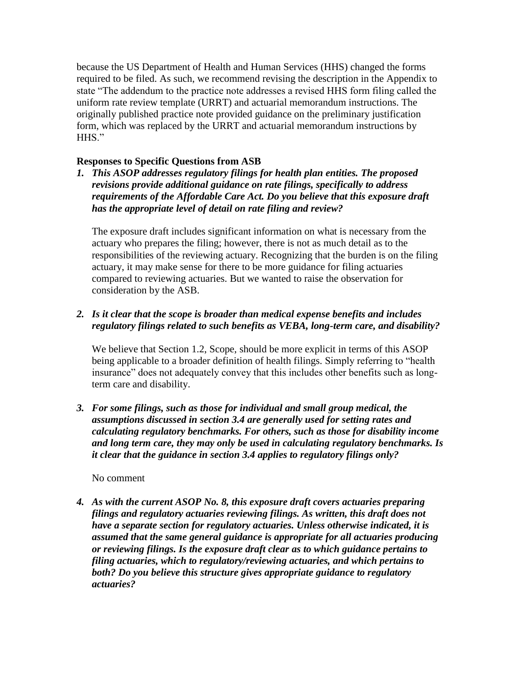because the US Department of Health and Human Services (HHS) changed the forms required to be filed. As such, we recommend revising the description in the Appendix to state "The addendum to the practice note addresses a revised HHS form filing called the uniform rate review template (URRT) and actuarial memorandum instructions. The originally published practice note provided guidance on the preliminary justification form, which was replaced by the URRT and actuarial memorandum instructions by HHS"

# **Responses to Specific Questions from ASB**

*1. This ASOP addresses regulatory filings for health plan entities. The proposed revisions provide additional guidance on rate filings, specifically to address requirements of the Affordable Care Act. Do you believe that this exposure draft has the appropriate level of detail on rate filing and review?*

The exposure draft includes significant information on what is necessary from the actuary who prepares the filing; however, there is not as much detail as to the responsibilities of the reviewing actuary. Recognizing that the burden is on the filing actuary, it may make sense for there to be more guidance for filing actuaries compared to reviewing actuaries. But we wanted to raise the observation for consideration by the ASB.

# *2. Is it clear that the scope is broader than medical expense benefits and includes regulatory filings related to such benefits as VEBA, long-term care, and disability?*

We believe that Section 1.2, Scope, should be more explicit in terms of this ASOP being applicable to a broader definition of health filings. Simply referring to "health insurance" does not adequately convey that this includes other benefits such as longterm care and disability.

*3. For some filings, such as those for individual and small group medical, the assumptions discussed in section 3.4 are generally used for setting rates and calculating regulatory benchmarks. For others, such as those for disability income and long term care, they may only be used in calculating regulatory benchmarks. Is it clear that the guidance in section 3.4 applies to regulatory filings only?*

# No comment

*4. As with the current ASOP No. 8, this exposure draft covers actuaries preparing filings and regulatory actuaries reviewing filings. As written, this draft does not have a separate section for regulatory actuaries. Unless otherwise indicated, it is assumed that the same general guidance is appropriate for all actuaries producing or reviewing filings. Is the exposure draft clear as to which guidance pertains to filing actuaries, which to regulatory/reviewing actuaries, and which pertains to both? Do you believe this structure gives appropriate guidance to regulatory actuaries?*